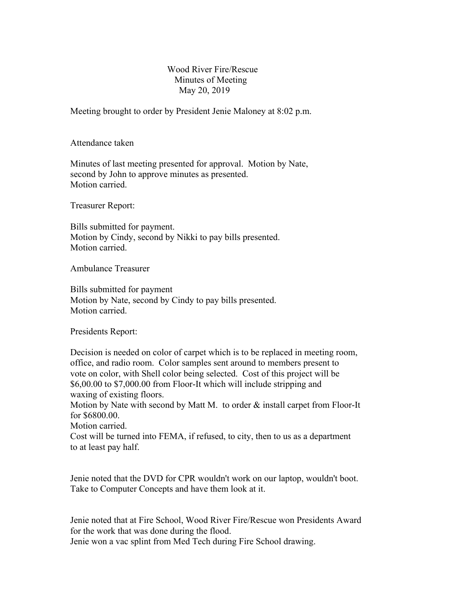## Wood River Fire/Rescue Minutes of Meeting May 20, 2019

Meeting brought to order by President Jenie Maloney at 8:02 p.m.

Attendance taken

Minutes of last meeting presented for approval. Motion by Nate, second by John to approve minutes as presented. Motion carried.

Treasurer Report:

Bills submitted for payment. Motion by Cindy, second by Nikki to pay bills presented. Motion carried.

Ambulance Treasurer

Bills submitted for payment Motion by Nate, second by Cindy to pay bills presented. Motion carried.

Presidents Report:

Decision is needed on color of carpet which is to be replaced in meeting room, office, and radio room. Color samples sent around to members present to vote on color, with Shell color being selected. Cost of this project will be \$6,00.00 to \$7,000.00 from Floor-It which will include stripping and waxing of existing floors.

Motion by Nate with second by Matt M. to order & install carpet from Floor-It for \$6800.00.

Motion carried.

Cost will be turned into FEMA, if refused, to city, then to us as a department to at least pay half.

Jenie noted that the DVD for CPR wouldn't work on our laptop, wouldn't boot. Take to Computer Concepts and have them look at it.

Jenie noted that at Fire School, Wood River Fire/Rescue won Presidents Award for the work that was done during the flood. Jenie won a vac splint from Med Tech during Fire School drawing.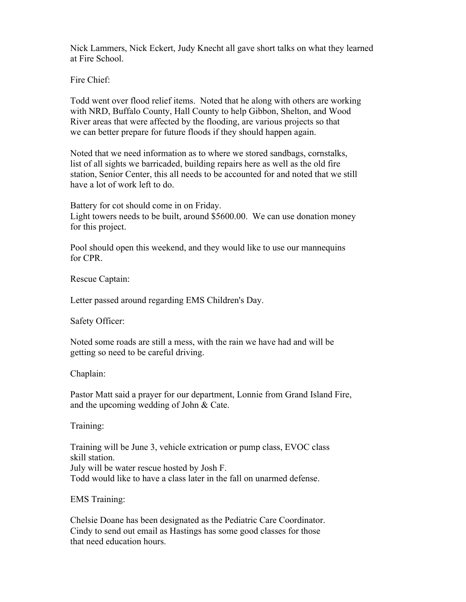Nick Lammers, Nick Eckert, Judy Knecht all gave short talks on what they learned at Fire School.

Fire Chief:

Todd went over flood relief items. Noted that he along with others are working with NRD, Buffalo County, Hall County to help Gibbon, Shelton, and Wood River areas that were affected by the flooding, are various projects so that we can better prepare for future floods if they should happen again.

Noted that we need information as to where we stored sandbags, cornstalks, list of all sights we barricaded, building repairs here as well as the old fire station, Senior Center, this all needs to be accounted for and noted that we still have a lot of work left to do.

Battery for cot should come in on Friday. Light towers needs to be built, around \$5600.00. We can use donation money for this project.

Pool should open this weekend, and they would like to use our mannequins for CPR.

Rescue Captain:

Letter passed around regarding EMS Children's Day.

Safety Officer:

Noted some roads are still a mess, with the rain we have had and will be getting so need to be careful driving.

Chaplain:

Pastor Matt said a prayer for our department, Lonnie from Grand Island Fire, and the upcoming wedding of John & Cate.

Training:

Training will be June 3, vehicle extrication or pump class, EVOC class skill station. July will be water rescue hosted by Josh F. Todd would like to have a class later in the fall on unarmed defense.

EMS Training:

Chelsie Doane has been designated as the Pediatric Care Coordinator. Cindy to send out email as Hastings has some good classes for those that need education hours.